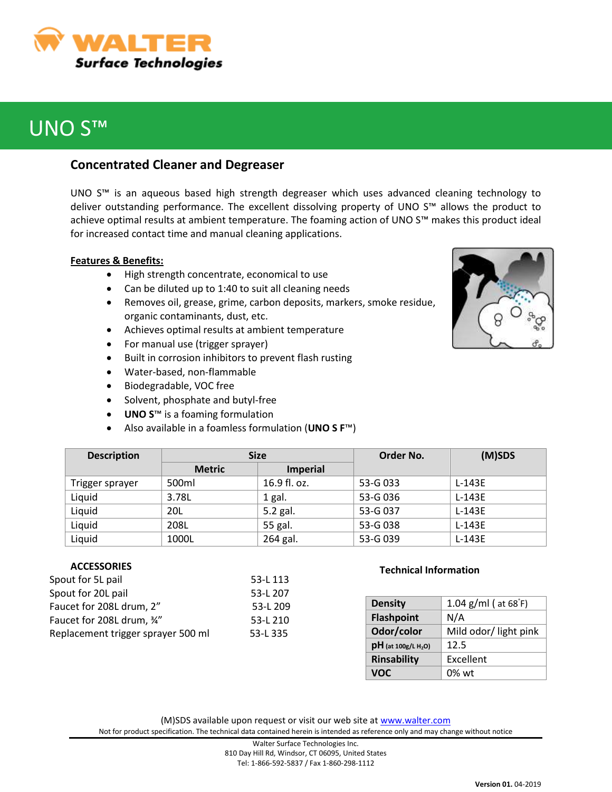

# UNO S™

## **Concentrated Cleaner and Degreaser**

UNO S™ is an aqueous based high strength degreaser which uses advanced cleaning technology to deliver outstanding performance. The excellent dissolving property of UNO S™ allows the product to achieve optimal results at ambient temperature. The foaming action of UNO S™ makes this product ideal for increased contact time and manual cleaning applications.

### **Features & Benefits:**

- High strength concentrate, economical to use
- Can be diluted up to 1:40 to suit all cleaning needs
- Removes oil, grease, grime, carbon deposits, markers, smoke residue, organic contaminants, dust, etc.
- Achieves optimal results at ambient temperature
- For manual use (trigger sprayer)
- Built in corrosion inhibitors to prevent flash rusting
- Water-based, non-flammable
- Biodegradable, VOC free
- Solvent, phosphate and butyl-free
- **UNO S**™ is a foaming formulation
- Also available in a foamless formulation (**UNO S F**™)

|  | t |  |
|--|---|--|
|  |   |  |

| <b>Description</b> | <b>Size</b>   |                 | Order No. | (M)SDS   |
|--------------------|---------------|-----------------|-----------|----------|
|                    | <b>Metric</b> | <b>Imperial</b> |           |          |
| Trigger sprayer    | 500ml         | 16.9 fl. oz.    | 53-G 033  | $L-143E$ |
| Liquid             | 3.78L         | 1 gal.          | 53-G 036  | $L-143E$ |
| Liquid             | 20L           | 5.2 gal.        | 53-G 037  | $L-143E$ |
| Liquid             | 208L          | 55 gal.         | 53-G 038  | $L-143E$ |
| Liquid             | 1000L         | 264 gal.        | 53-G 039  | $L-143E$ |

### **ACCESSORIES**

| Spout for 5L pail                  | 53-L 113 |
|------------------------------------|----------|
| Spout for 20L pail                 | 53-L 207 |
| Faucet for 208L drum, 2"           | 53-L 209 |
| Faucet for 208L drum, 34"          | 53-L 210 |
| Replacement trigger sprayer 500 ml | 53-L 335 |
|                                    |          |

#### **Technical Information**

| <b>Density</b>                    | 1.04 $g/ml$ ( at 68 $F$ ) |
|-----------------------------------|---------------------------|
| <b>Flashpoint</b>                 | N/A                       |
| Odor/color                        | Mild odor/ light pink     |
| $pH$ (at 100g/L H <sub>2</sub> O) | 12.5                      |
| <b>Rinsability</b>                | Excellent                 |
| VOC                               | $0\%$ wt                  |

(M)SDS available upon request or visit our web site at [www.walter.com](http://www.walter.com/) Not for product specification. The technical data contained herein is intended as reference only and may change without notice